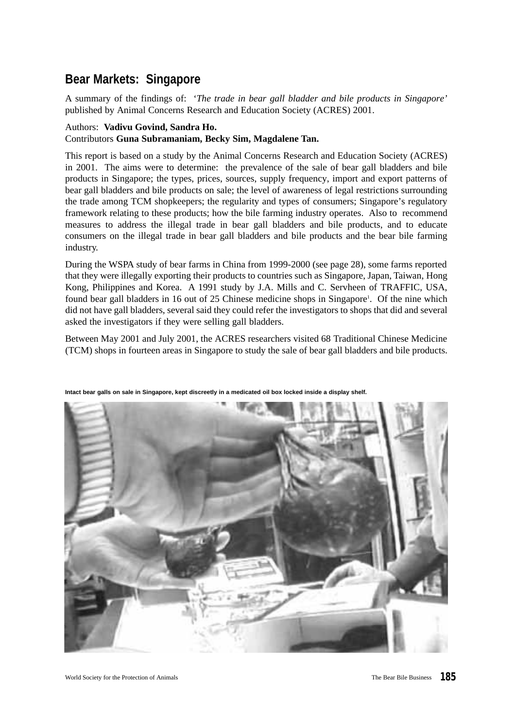# **Bear Markets: Singapore**

A summary of the findings of: '*The trade in bear gall bladder and bile products in Singapore'* published by Animal Concerns Research and Education Society (ACRES) 2001.

# Authors: **Vadivu Govind, Sandra Ho.**

# Contributors **Guna Subramaniam, Becky Sim, Magdalene Tan.**

This report is based on a study by the Animal Concerns Research and Education Society (ACRES) in 2001. The aims were to determine: the prevalence of the sale of bear gall bladders and bile products in Singapore; the types, prices, sources, supply frequency, import and export patterns of bear gall bladders and bile products on sale; the level of awareness of legal restrictions surrounding the trade among TCM shopkeepers; the regularity and types of consumers; Singapore's regulatory framework relating to these products; how the bile farming industry operates. Also to recommend measures to address the illegal trade in bear gall bladders and bile products, and to educate consumers on the illegal trade in bear gall bladders and bile products and the bear bile farming industry.

During the WSPA study of bear farms in China from 1999-2000 (see page 28), some farms reported that they were illegally exporting their products to countries such as Singapore, Japan, Taiwan, Hong Kong, Philippines and Korea. A 1991 study by J.A. Mills and C. Servheen of TRAFFIC, USA, found bear gall bladders in 16 out of 25 Chinese medicine shops in Singapore<sup>1</sup>. Of the nine which did not have gall bladders, several said they could refer the investigators to shops that did and several asked the investigators if they were selling gall bladders.

Between May 2001 and July 2001, the ACRES researchers visited 68 Traditional Chinese Medicine (TCM) shops in fourteen areas in Singapore to study the sale of bear gall bladders and bile products.



**Intact bear galls on sale in Singapore, kept discreetly in a medicated oil box locked inside a display shelf.**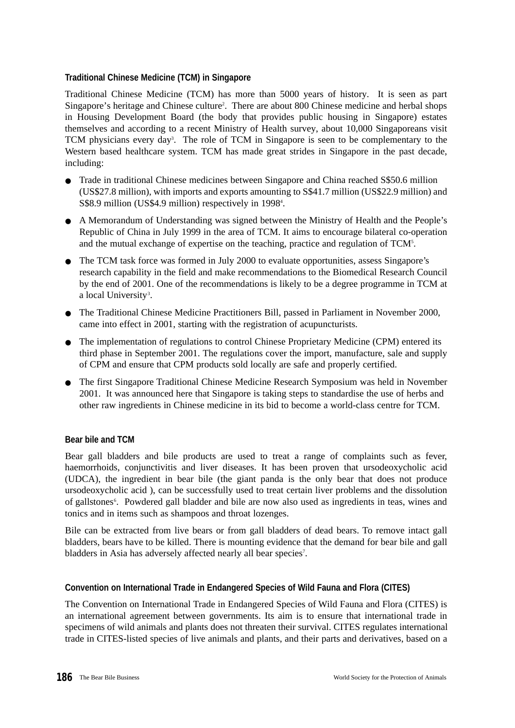# **Traditional Chinese Medicine (TCM) in Singapore**

Traditional Chinese Medicine (TCM) has more than 5000 years of history. It is seen as part Singapore's heritage and Chinese culture<sup>2</sup>. There are about 800 Chinese medicine and herbal shops in Housing Development Board (the body that provides public housing in Singapore) estates themselves and according to a recent Ministry of Health survey, about 10,000 Singaporeans visit TCM physicians every day<sup>3</sup>. The role of TCM in Singapore is seen to be complementary to the Western based healthcare system. TCM has made great strides in Singapore in the past decade, including:

- Trade in traditional Chinese medicines between Singapore and China reached S\$50.6 million (US\$27.8 million), with imports and exports amounting to S\$41.7 million (US\$22.9 million) and S\$8.9 million (US\$4.9 million) respectively in 1998<sup>4</sup>.
- A Memorandum of Understanding was signed between the Ministry of Health and the People's Republic of China in July 1999 in the area of TCM. It aims to encourage bilateral co-operation and the mutual exchange of expertise on the teaching, practice and regulation of TCM<sup>5</sup>.
- The TCM task force was formed in July 2000 to evaluate opportunities, assess Singapore's research capability in the field and make recommendations to the Biomedical Research Council by the end of 2001. One of the recommendations is likely to be a degree programme in TCM at a local University<sup>3</sup>.
- The Traditional Chinese Medicine Practitioners Bill, passed in Parliament in November 2000, came into effect in 2001, starting with the registration of acupuncturists.
- The implementation of regulations to control Chinese Proprietary Medicine (CPM) entered its third phase in September 2001. The regulations cover the import, manufacture, sale and supply of CPM and ensure that CPM products sold locally are safe and properly certified.
- The first Singapore Traditional Chinese Medicine Research Symposium was held in November 2001. It was announced here that Singapore is taking steps to standardise the use of herbs and other raw ingredients in Chinese medicine in its bid to become a world-class centre for TCM.

# **Bear bile and TCM**

Bear gall bladders and bile products are used to treat a range of complaints such as fever, haemorrhoids, conjunctivitis and liver diseases. It has been proven that ursodeoxycholic acid (UDCA), the ingredient in bear bile (the giant panda is the only bear that does not produce ursodeoxycholic acid ), can be successfully used to treat certain liver problems and the dissolution of gallstones<sup>6</sup>. Powdered gall bladder and bile are now also used as ingredients in teas, wines and tonics and in items such as shampoos and throat lozenges.

Bile can be extracted from live bears or from gall bladders of dead bears. To remove intact gall bladders, bears have to be killed. There is mounting evidence that the demand for bear bile and gall bladders in Asia has adversely affected nearly all bear species<sup>7</sup>.

# **Convention on International Trade in Endangered Species of Wild Fauna and Flora (CITES)**

The Convention on International Trade in Endangered Species of Wild Fauna and Flora (CITES) is an international agreement between governments. Its aim is to ensure that international trade in specimens of wild animals and plants does not threaten their survival. CITES regulates international trade in CITES-listed species of live animals and plants, and their parts and derivatives, based on a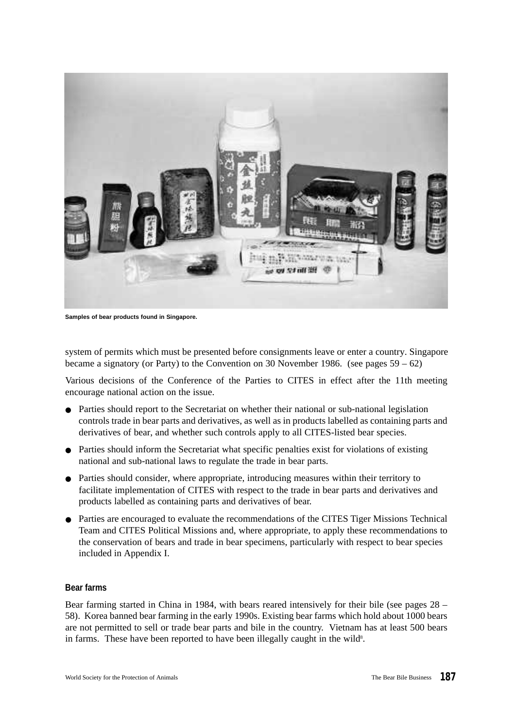

**Samples of bear products found in Singapore.**

system of permits which must be presented before consignments leave or enter a country. Singapore became a signatory (or Party) to the Convention on 30 November 1986. (see pages 59 – 62)

Various decisions of the Conference of the Parties to CITES in effect after the 11th meeting encourage national action on the issue.

- Parties should report to the Secretariat on whether their national or sub-national legislation controls trade in bear parts and derivatives, as well as in products labelled as containing parts and derivatives of bear, and whether such controls apply to all CITES-listed bear species.
- Parties should inform the Secretariat what specific penalties exist for violations of existing national and sub-national laws to regulate the trade in bear parts.
- Parties should consider, where appropriate, introducing measures within their territory to facilitate implementation of CITES with respect to the trade in bear parts and derivatives and products labelled as containing parts and derivatives of bear.
- Parties are encouraged to evaluate the recommendations of the CITES Tiger Missions Technical Team and CITES Political Missions and, where appropriate, to apply these recommendations to the conservation of bears and trade in bear specimens, particularly with respect to bear species included in Appendix I.

#### **Bear farms**

Bear farming started in China in 1984, with bears reared intensively for their bile (see pages 28 – 58). Korea banned bear farming in the early 1990s. Existing bear farms which hold about 1000 bears are not permitted to sell or trade bear parts and bile in the country. Vietnam has at least 500 bears in farms. These have been reported to have been illegally caught in the wild<sup>8</sup>.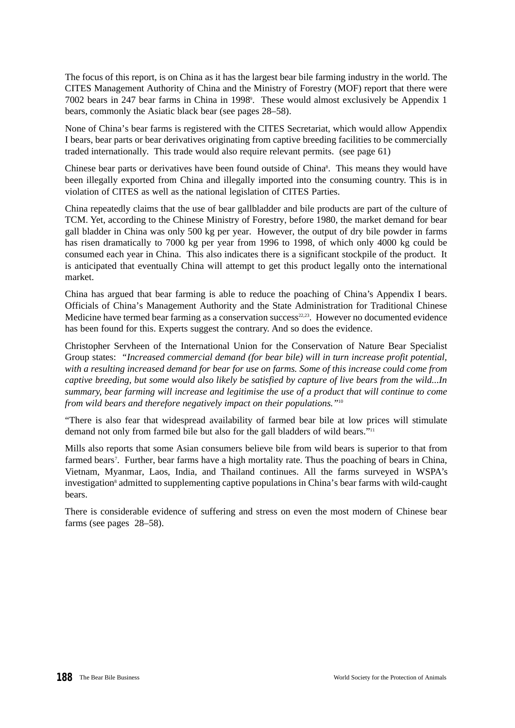The focus of this report, is on China as it has the largest bear bile farming industry in the world. The CITES Management Authority of China and the Ministry of Forestry (MOF) report that there were 7002 bears in 247 bear farms in China in 1998<sup>9</sup> . These would almost exclusively be Appendix 1 bears, commonly the Asiatic black bear (see pages 28–58).

None of China's bear farms is registered with the CITES Secretariat, which would allow Appendix I bears, bear parts or bear derivatives originating from captive breeding facilities to be commercially traded internationally. This trade would also require relevant permits. (see page 61)

Chinese bear parts or derivatives have been found outside of China<sup>8</sup>. This means they would have been illegally exported from China and illegally imported into the consuming country. This is in violation of CITES as well as the national legislation of CITES Parties.

China repeatedly claims that the use of bear gallbladder and bile products are part of the culture of TCM. Yet, according to the Chinese Ministry of Forestry, before 1980, the market demand for bear gall bladder in China was only 500 kg per year. However, the output of dry bile powder in farms has risen dramatically to 7000 kg per year from 1996 to 1998, of which only 4000 kg could be consumed each year in China. This also indicates there is a significant stockpile of the product. It is anticipated that eventually China will attempt to get this product legally onto the international market.

China has argued that bear farming is able to reduce the poaching of China's Appendix I bears. Officials of China's Management Authority and the State Administration for Traditional Chinese Medicine have termed bear farming as a conservation success $22,23$ . However no documented evidence has been found for this. Experts suggest the contrary. And so does the evidence.

Christopher Servheen of the International Union for the Conservation of Nature Bear Specialist Group states: *"Increased commercial demand (for bear bile) will in turn increase profit potential, with a resulting increased demand for bear for use on farms. Some of this increase could come from captive breeding, but some would also likely be satisfied by capture of live bears from the wild...In summary, bear farming will increase and legitimise the use of a product that will continue to come from wild bears and therefore negatively impact on their populations."*<sup>10</sup>

"There is also fear that widespread availability of farmed bear bile at low prices will stimulate demand not only from farmed bile but also for the gall bladders of wild bears."<sup>11</sup>

Mills also reports that some Asian consumers believe bile from wild bears is superior to that from farmed bears<sup>7</sup>. Further, bear farms have a high mortality rate. Thus the poaching of bears in China, Vietnam, Myanmar, Laos, India, and Thailand continues. All the farms surveyed in WSPA's investigation<sup>8</sup> admitted to supplementing captive populations in China's bear farms with wild-caught bears.

There is considerable evidence of suffering and stress on even the most modern of Chinese bear farms (see pages 28–58).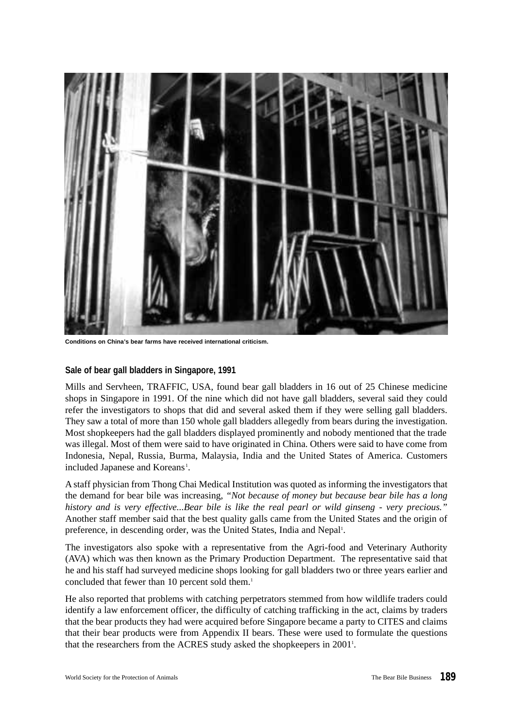

**Conditions on China's bear farms have received international criticism.**

#### **Sale of bear gall bladders in Singapore, 1991**

Mills and Servheen, TRAFFIC, USA, found bear gall bladders in 16 out of 25 Chinese medicine shops in Singapore in 1991. Of the nine which did not have gall bladders, several said they could refer the investigators to shops that did and several asked them if they were selling gall bladders. They saw a total of more than 150 whole gall bladders allegedly from bears during the investigation. Most shopkeepers had the gall bladders displayed prominently and nobody mentioned that the trade was illegal. Most of them were said to have originated in China. Others were said to have come from Indonesia, Nepal, Russia, Burma, Malaysia, India and the United States of America. Customers included Japanese and Koreans<sup>1</sup>.

A staff physician from Thong Chai Medical Institution was quoted as informing the investigators that the demand for bear bile was increasing, *"Not because of money but because bear bile has a long history and is very effective...Bear bile is like the real pearl or wild ginseng - very precious."* Another staff member said that the best quality galls came from the United States and the origin of preference, in descending order, was the United States, India and Nepal<sup>1</sup>.

The investigators also spoke with a representative from the Agri-food and Veterinary Authority (AVA) which was then known as the Primary Production Department. The representative said that he and his staff had surveyed medicine shops looking for gall bladders two or three years earlier and concluded that fewer than 10 percent sold them.<sup>1</sup>

He also reported that problems with catching perpetrators stemmed from how wildlife traders could identify a law enforcement officer, the difficulty of catching trafficking in the act, claims by traders that the bear products they had were acquired before Singapore became a party to CITES and claims that their bear products were from Appendix II bears. These were used to formulate the questions that the researchers from the ACRES study asked the shopkeepers in 2001<sup>1</sup>.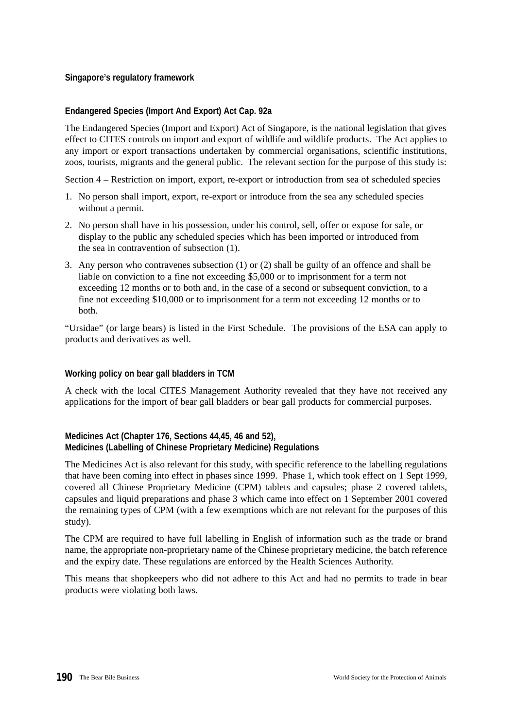# **Singapore's regulatory framework**

# **Endangered Species (Import And Export) Act Cap. 92a**

The Endangered Species (Import and Export) Act of Singapore, is the national legislation that gives effect to CITES controls on import and export of wildlife and wildlife products. The Act applies to any import or export transactions undertaken by commercial organisations, scientific institutions, zoos, tourists, migrants and the general public. The relevant section for the purpose of this study is:

Section 4 – Restriction on import, export, re-export or introduction from sea of scheduled species

- 1. No person shall import, export, re-export or introduce from the sea any scheduled species without a permit.
- 2. No person shall have in his possession, under his control, sell, offer or expose for sale, or display to the public any scheduled species which has been imported or introduced from the sea in contravention of subsection (1).
- 3. Any person who contravenes subsection (1) or (2) shall be guilty of an offence and shall be liable on conviction to a fine not exceeding \$5,000 or to imprisonment for a term not exceeding 12 months or to both and, in the case of a second or subsequent conviction, to a fine not exceeding \$10,000 or to imprisonment for a term not exceeding 12 months or to both.

"Ursidae" (or large bears) is listed in the First Schedule. The provisions of the ESA can apply to products and derivatives as well.

# **Working policy on bear gall bladders in TCM**

A check with the local CITES Management Authority revealed that they have not received any applications for the import of bear gall bladders or bear gall products for commercial purposes.

# **Medicines Act (Chapter 176, Sections 44,45, 46 and 52), Medicines (Labelling of Chinese Proprietary Medicine) Regulations**

The Medicines Act is also relevant for this study, with specific reference to the labelling regulations that have been coming into effect in phases since 1999. Phase 1, which took effect on 1 Sept 1999, covered all Chinese Proprietary Medicine (CPM) tablets and capsules; phase 2 covered tablets, capsules and liquid preparations and phase 3 which came into effect on 1 September 2001 covered the remaining types of CPM (with a few exemptions which are not relevant for the purposes of this study).

The CPM are required to have full labelling in English of information such as the trade or brand name, the appropriate non-proprietary name of the Chinese proprietary medicine, the batch reference and the expiry date. These regulations are enforced by the Health Sciences Authority.

This means that shopkeepers who did not adhere to this Act and had no permits to trade in bear products were violating both laws.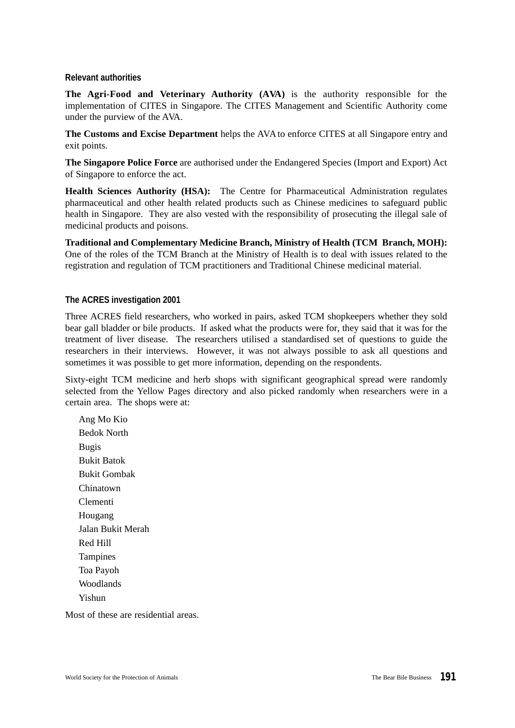#### **Relevant authorities**

**The Agri-Food and Veterinary Authority (AVA)** is the authority responsible for the implementation of CITES in Singapore. The CITES Management and Scientific Authority come under the purview of the AVA.

**The Customs and Excise Department** helps the AVA to enforce CITES at all Singapore entry and exit points.

**The Singapore Police Force** are authorised under the Endangered Species (Import and Export) Act of Singapore to enforce the act.

**Health Sciences Authority (HSA):** The Centre for Pharmaceutical Administration regulates pharmaceutical and other health related products such as Chinese medicines to safeguard public health in Singapore. They are also vested with the responsibility of prosecuting the illegal sale of medicinal products and poisons.

**Traditional and Complementary Medicine Branch, Ministry of Health (TCM Branch, MOH):** One of the roles of the TCM Branch at the Ministry of Health is to deal with issues related to the registration and regulation of TCM practitioners and Traditional Chinese medicinal material.

#### **The ACRES investigation 2001**

Three ACRES field researchers, who worked in pairs, asked TCM shopkeepers whether they sold bear gall bladder or bile products. If asked what the products were for, they said that it was for the treatment of liver disease. The researchers utilised a standardised set of questions to guide the researchers in their interviews. However, it was not always possible to ask all questions and sometimes it was possible to get more information, depending on the respondents.

Sixty-eight TCM medicine and herb shops with significant geographical spread were randomly selected from the Yellow Pages directory and also picked randomly when researchers were in a certain area. The shops were at:

Ang Mo Kio Bedok North Bugis Bukit Batok Bukit Gombak Chinatown Clementi Hougang Jalan Bukit Merah Red Hill **Tampines** Toa Payoh Woodlands Yishun

Most of these are residential areas.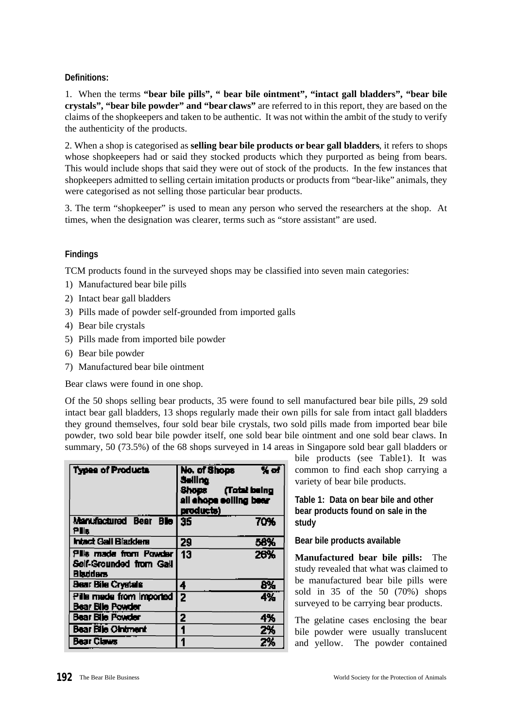# **Definitions:**

1. When the terms **"bear bile pills", " bear bile ointment", "intact gall bladders", "bear bile crystals", "bear bile powder" and "bear claws"** are referred to in this report, they are based on the claims of the shopkeepers and taken to be authentic. It was not within the ambit of the study to verify the authenticity of the products.

2. When a shop is categorised as **selling bear bile products or bear gall bladders**, it refers to shops whose shopkeepers had or said they stocked products which they purported as being from bears. This would include shops that said they were out of stock of the products. In the few instances that shopkeepers admitted to selling certain imitation products or products from "bear-like" animals, they were categorised as not selling those particular bear products.

3. The term "shopkeeper" is used to mean any person who served the researchers at the shop. At times, when the designation was clearer, terms such as "store assistant" are used.

# **Findings**

TCM products found in the surveyed shops may be classified into seven main categories:

- 1) Manufactured bear bile pills
- 2) Intact bear gall bladders
- 3) Pills made of powder self-grounded from imported galls
- 4) Bear bile crystals
- 5) Pills made from imported bile powder
- 6) Bear bile powder
- 7) Manufactured bear bile ointment

Bear claws were found in one shop.

Of the 50 shops selling bear products, 35 were found to sell manufactured bear bile pills, 29 sold intact bear gall bladders, 13 shops regularly made their own pills for sale from intact gall bladders they ground themselves, four sold bear bile crystals, two sold pills made from imported bear bile powder, two sold bear bile powder itself, one sold bear bile ointment and one sold bear claws. In summary, 50 (73.5%) of the 68 shops surveyed in 14 areas in Singapore sold bear gall bladders or

| <b>Types of Products</b>                                             | No. of Shops<br>% of<br><b>Seiling</b><br>Shops (Total being<br>all chops celling bear<br>products) |
|----------------------------------------------------------------------|-----------------------------------------------------------------------------------------------------|
| Manufactured Bear Blo 35<br>Pils                                     | 70%                                                                                                 |
| <b>Intact Gall Blacklers</b>                                         | 58%<br>29                                                                                           |
| Pills made from Powder<br>Self-Grounded from Gall<br><b>Bladders</b> | 13<br>26%                                                                                           |
| Bear Bile Crystals                                                   | 8%<br>4                                                                                             |
| Pilla made from imported<br>Bear Bile Powder                         | 44<br>2                                                                                             |
| <b>Bear Bile Powder</b>                                              | 2<br>4%                                                                                             |
| <b>Bear Bile Olntment</b>                                            | 2%                                                                                                  |
| <b>Bear Claws</b>                                                    | 2%                                                                                                  |

bile products (see Table1). It was common to find each shop carrying a variety of bear bile products.

# **Table 1: Data on bear bile and other bear products found on sale in the study**

# **Bear bile products available**

**Manufactured bear bile pills:** The study revealed that what was claimed to be manufactured bear bile pills were sold in 35 of the 50 (70%) shops surveyed to be carrying bear products.

The gelatine cases enclosing the bear bile powder were usually translucent and yellow. The powder contained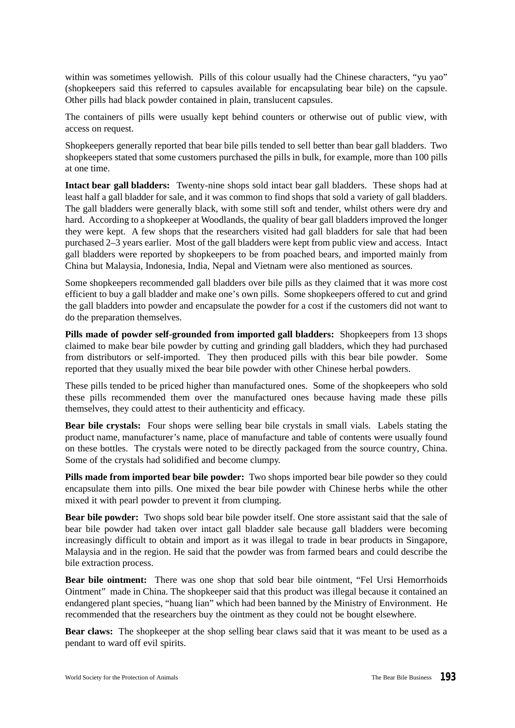within was sometimes yellowish. Pills of this colour usually had the Chinese characters, "yu yao" (shopkeepers said this referred to capsules available for encapsulating bear bile) on the capsule. Other pills had black powder contained in plain, translucent capsules.

The containers of pills were usually kept behind counters or otherwise out of public view, with access on request.

Shopkeepers generally reported that bear bile pills tended to sell better than bear gall bladders. Two shopkeepers stated that some customers purchased the pills in bulk, for example, more than 100 pills at one time.

**Intact bear gall bladders:** Twenty-nine shops sold intact bear gall bladders. These shops had at least half a gall bladder for sale, and it was common to find shops that sold a variety of gall bladders. The gall bladders were generally black, with some still soft and tender, whilst others were dry and hard. According to a shopkeeper at Woodlands, the quality of bear gall bladders improved the longer they were kept. A few shops that the researchers visited had gall bladders for sale that had been purchased 2–3 years earlier. Most of the gall bladders were kept from public view and access. Intact gall bladders were reported by shopkeepers to be from poached bears, and imported mainly from China but Malaysia, Indonesia, India, Nepal and Vietnam were also mentioned as sources.

Some shopkeepers recommended gall bladders over bile pills as they claimed that it was more cost efficient to buy a gall bladder and make one's own pills. Some shopkeepers offered to cut and grind the gall bladders into powder and encapsulate the powder for a cost if the customers did not want to do the preparation themselves.

**Pills made of powder self-grounded from imported gall bladders:** Shopkeepers from 13 shops claimed to make bear bile powder by cutting and grinding gall bladders, which they had purchased from distributors or self-imported. They then produced pills with this bear bile powder. Some reported that they usually mixed the bear bile powder with other Chinese herbal powders.

These pills tended to be priced higher than manufactured ones. Some of the shopkeepers who sold these pills recommended them over the manufactured ones because having made these pills themselves, they could attest to their authenticity and efficacy.

**Bear bile crystals:** Four shops were selling bear bile crystals in small vials. Labels stating the product name, manufacturer's name, place of manufacture and table of contents were usually found on these bottles. The crystals were noted to be directly packaged from the source country, China. Some of the crystals had solidified and become clumpy.

**Pills made from imported bear bile powder:** Two shops imported bear bile powder so they could encapsulate them into pills. One mixed the bear bile powder with Chinese herbs while the other mixed it with pearl powder to prevent it from clumping.

**Bear bile powder:** Two shops sold bear bile powder itself. One store assistant said that the sale of bear bile powder had taken over intact gall bladder sale because gall bladders were becoming increasingly difficult to obtain and import as it was illegal to trade in bear products in Singapore, Malaysia and in the region. He said that the powder was from farmed bears and could describe the bile extraction process.

**Bear bile ointment:** There was one shop that sold bear bile ointment, "Fel Ursi Hemorrhoids Ointment" made in China. The shopkeeper said that this product was illegal because it contained an endangered plant species, "huang lian" which had been banned by the Ministry of Environment. He recommended that the researchers buy the ointment as they could not be bought elsewhere.

**Bear claws:** The shopkeeper at the shop selling bear claws said that it was meant to be used as a pendant to ward off evil spirits.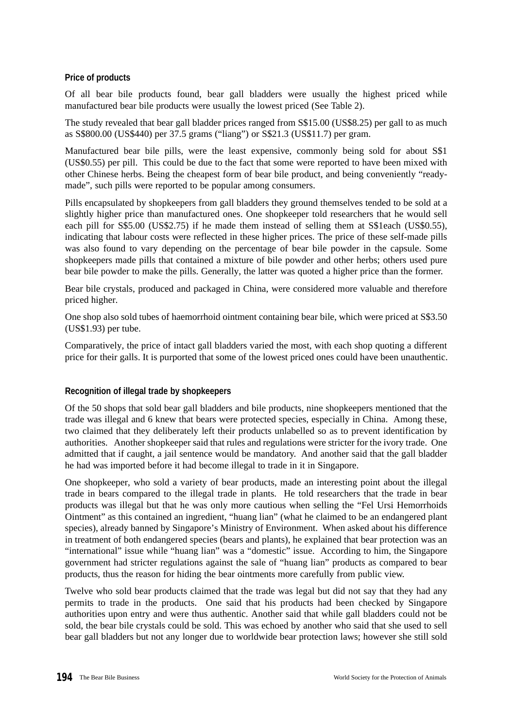# **Price of products**

Of all bear bile products found, bear gall bladders were usually the highest priced while manufactured bear bile products were usually the lowest priced (See Table 2).

The study revealed that bear gall bladder prices ranged from S\$15.00 (US\$8.25) per gall to as much as S\$800.00 (US\$440) per 37.5 grams ("liang") or S\$21.3 (US\$11.7) per gram.

Manufactured bear bile pills, were the least expensive, commonly being sold for about S\$1 (US\$0.55) per pill. This could be due to the fact that some were reported to have been mixed with other Chinese herbs. Being the cheapest form of bear bile product, and being conveniently "readymade", such pills were reported to be popular among consumers.

Pills encapsulated by shopkeepers from gall bladders they ground themselves tended to be sold at a slightly higher price than manufactured ones. One shopkeeper told researchers that he would sell each pill for S\$5.00 (US\$2.75) if he made them instead of selling them at S\$1each (US\$0.55), indicating that labour costs were reflected in these higher prices. The price of these self-made pills was also found to vary depending on the percentage of bear bile powder in the capsule. Some shopkeepers made pills that contained a mixture of bile powder and other herbs; others used pure bear bile powder to make the pills. Generally, the latter was quoted a higher price than the former.

Bear bile crystals, produced and packaged in China, were considered more valuable and therefore priced higher.

One shop also sold tubes of haemorrhoid ointment containing bear bile, which were priced at S\$3.50 (US\$1.93) per tube.

Comparatively, the price of intact gall bladders varied the most, with each shop quoting a different price for their galls. It is purported that some of the lowest priced ones could have been unauthentic.

# **Recognition of illegal trade by shopkeepers**

Of the 50 shops that sold bear gall bladders and bile products, nine shopkeepers mentioned that the trade was illegal and 6 knew that bears were protected species, especially in China. Among these, two claimed that they deliberately left their products unlabelled so as to prevent identification by authorities. Another shopkeeper said that rules and regulations were stricter for the ivory trade. One admitted that if caught, a jail sentence would be mandatory. And another said that the gall bladder he had was imported before it had become illegal to trade in it in Singapore.

One shopkeeper, who sold a variety of bear products, made an interesting point about the illegal trade in bears compared to the illegal trade in plants. He told researchers that the trade in bear products was illegal but that he was only more cautious when selling the "Fel Ursi Hemorrhoids Ointment" as this contained an ingredient, "huang lian" (what he claimed to be an endangered plant species), already banned by Singapore's Ministry of Environment. When asked about his difference in treatment of both endangered species (bears and plants), he explained that bear protection was an "international" issue while "huang lian" was a "domestic" issue. According to him, the Singapore government had stricter regulations against the sale of "huang lian" products as compared to bear products, thus the reason for hiding the bear ointments more carefully from public view.

Twelve who sold bear products claimed that the trade was legal but did not say that they had any permits to trade in the products. One said that his products had been checked by Singapore authorities upon entry and were thus authentic. Another said that while gall bladders could not be sold, the bear bile crystals could be sold. This was echoed by another who said that she used to sell bear gall bladders but not any longer due to worldwide bear protection laws; however she still sold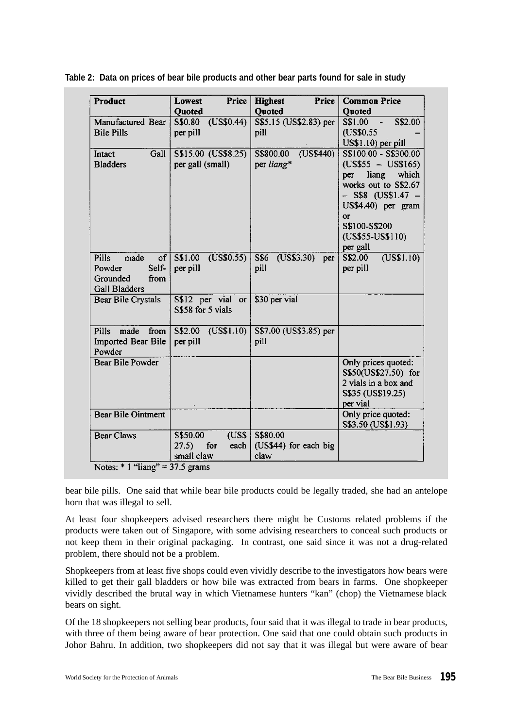| Product                                                                                   | Price<br><b>Lowest</b>                                  | <b>Price</b><br><b>Highest</b>            | <b>Common Price</b>                                                                                                                                                                                 |
|-------------------------------------------------------------------------------------------|---------------------------------------------------------|-------------------------------------------|-----------------------------------------------------------------------------------------------------------------------------------------------------------------------------------------------------|
|                                                                                           | Quoted                                                  | <b>Quoted</b>                             | Quoted                                                                                                                                                                                              |
| Manufactured Bear<br><b>Bile Pills</b>                                                    | (US\$0.44)<br>S\$0.80<br>per pill                       | S\$5.15 (US\$2.83) per<br>pill            | $S$1.00 -$<br>S\$2.00<br>(US\$0.55)<br>US\$1.10) per pill                                                                                                                                           |
| Gall<br>Intact<br><b>Bladders</b>                                                         | S\$15.00 (US\$8.25)<br>per gall (small)                 | (USS440)<br>S\$800.00<br>per liang*       | S\$100.00 - S\$300.00<br>$(US$55 - US$165)$<br>liang<br>which<br>per<br>works out to S\$2.67<br>$-$ S\$8 (US\$1.47 $-$<br>US\$4.40) per gram<br>or<br>S\$100-S\$200<br>(US\$55-US\$110)<br>per gall |
| <b>Pills</b><br>made<br>of<br>Self-<br>Powder<br>Grounded<br>from<br><b>Gall Bladders</b> | S\$1.00<br>(US\$0.55)<br>per pill                       | S\$6<br>(US\$3.30) per<br>pill            | S\$2.00<br>(US\$1.10)<br>per pill                                                                                                                                                                   |
| Bear Bile Crystals                                                                        | S\$12 per vial<br><b>or</b><br>S\$58 for 5 vials        | \$30 per vial                             |                                                                                                                                                                                                     |
| <b>Pills</b><br>made<br>from<br>Imported Bear Bile<br>Powder                              | (US\$1.10)<br>S\$2.00<br>per pill                       | S\$7.00 (US\$3.85) per<br>pill            |                                                                                                                                                                                                     |
| <b>Bear Bile Powder</b>                                                                   |                                                         |                                           | Only prices quoted:<br>S\$50(US\$27.50) for<br>2 vials in a box and<br>S\$35 (US\$19.25)<br>per vial                                                                                                |
| <b>Bear Bile Ointment</b>                                                                 |                                                         |                                           | Only price quoted:<br>S\$3.50 (US\$1.93)                                                                                                                                                            |
| <b>Bear Claws</b><br>Notes: $* 1$ "liang" = 37.5 grams                                    | (USS)<br>S\$50.00<br>27.5)<br>for<br>each<br>small claw | S\$80.00<br>(US\$44) for each big<br>claw |                                                                                                                                                                                                     |

**Table 2: Data on prices of bear bile products and other bear parts found for sale in study**

bear bile pills. One said that while bear bile products could be legally traded, she had an antelope horn that was illegal to sell.

At least four shopkeepers advised researchers there might be Customs related problems if the products were taken out of Singapore, with some advising researchers to conceal such products or not keep them in their original packaging. In contrast, one said since it was not a drug-related problem, there should not be a problem.

Shopkeepers from at least five shops could even vividly describe to the investigators how bears were killed to get their gall bladders or how bile was extracted from bears in farms. One shopkeeper vividly described the brutal way in which Vietnamese hunters "kan" (chop) the Vietnamese black bears on sight.

Of the 18 shopkeepers not selling bear products, four said that it was illegal to trade in bear products, with three of them being aware of bear protection. One said that one could obtain such products in Johor Bahru. In addition, two shopkeepers did not say that it was illegal but were aware of bear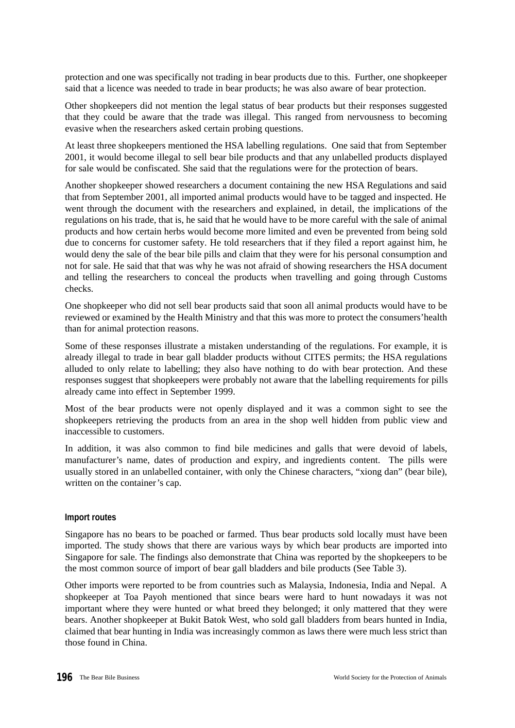protection and one was specifically not trading in bear products due to this. Further, one shopkeeper said that a licence was needed to trade in bear products; he was also aware of bear protection.

Other shopkeepers did not mention the legal status of bear products but their responses suggested that they could be aware that the trade was illegal. This ranged from nervousness to becoming evasive when the researchers asked certain probing questions.

At least three shopkeepers mentioned the HSA labelling regulations. One said that from September 2001, it would become illegal to sell bear bile products and that any unlabelled products displayed for sale would be confiscated. She said that the regulations were for the protection of bears.

Another shopkeeper showed researchers a document containing the new HSA Regulations and said that from September 2001, all imported animal products would have to be tagged and inspected. He went through the document with the researchers and explained, in detail, the implications of the regulations on his trade, that is, he said that he would have to be more careful with the sale of animal products and how certain herbs would become more limited and even be prevented from being sold due to concerns for customer safety. He told researchers that if they filed a report against him, he would deny the sale of the bear bile pills and claim that they were for his personal consumption and not for sale. He said that that was why he was not afraid of showing researchers the HSA document and telling the researchers to conceal the products when travelling and going through Customs checks.

One shopkeeper who did not sell bear products said that soon all animal products would have to be reviewed or examined by the Health Ministry and that this was more to protect the consumers'health than for animal protection reasons.

Some of these responses illustrate a mistaken understanding of the regulations. For example, it is already illegal to trade in bear gall bladder products without CITES permits; the HSA regulations alluded to only relate to labelling; they also have nothing to do with bear protection. And these responses suggest that shopkeepers were probably not aware that the labelling requirements for pills already came into effect in September 1999.

Most of the bear products were not openly displayed and it was a common sight to see the shopkeepers retrieving the products from an area in the shop well hidden from public view and inaccessible to customers.

In addition, it was also common to find bile medicines and galls that were devoid of labels, manufacturer's name, dates of production and expiry, and ingredients content. The pills were usually stored in an unlabelled container, with only the Chinese characters, "xiong dan" (bear bile), written on the container's cap.

#### **Import routes**

Singapore has no bears to be poached or farmed. Thus bear products sold locally must have been imported. The study shows that there are various ways by which bear products are imported into Singapore for sale. The findings also demonstrate that China was reported by the shopkeepers to be the most common source of import of bear gall bladders and bile products (See Table 3).

Other imports were reported to be from countries such as Malaysia, Indonesia, India and Nepal. A shopkeeper at Toa Payoh mentioned that since bears were hard to hunt nowadays it was not important where they were hunted or what breed they belonged; it only mattered that they were bears. Another shopkeeper at Bukit Batok West, who sold gall bladders from bears hunted in India, claimed that bear hunting in India was increasingly common as laws there were much less strict than those found in China.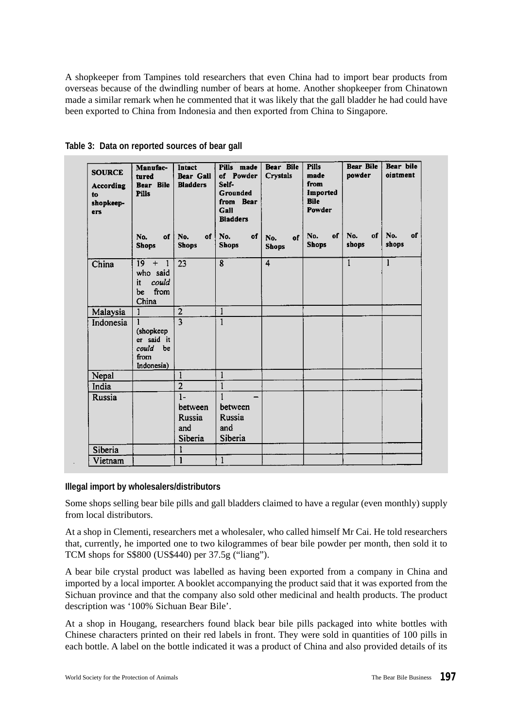A shopkeeper from Tampines told researchers that even China had to import bear products from overseas because of the dwindling number of bears at home. Another shopkeeper from Chinatown made a similar remark when he commented that it was likely that the gall bladder he had could have been exported to China from Indonesia and then exported from China to Singapore.

| <b>SOURCE</b><br><b>According</b><br>to<br>shopkeep-<br>ers | Manufac-<br>tured<br>Bear Bile<br><b>Pills</b>                               | Intact<br>Bear Gall<br><b>Bladders</b>             | Pills made<br>of Powder<br>Self-<br>Grounded<br>from Bear<br>Gall<br><b>Bladders</b> | Bear Bile<br>Crystals     | <b>Pills</b><br>made<br>from<br>Imported<br><b>Bile</b><br>Powder | <b>Bear Bile</b><br>powder | Bear bile<br>ointment |
|-------------------------------------------------------------|------------------------------------------------------------------------------|----------------------------------------------------|--------------------------------------------------------------------------------------|---------------------------|-------------------------------------------------------------------|----------------------------|-----------------------|
|                                                             | No.<br>of<br><b>Shops</b>                                                    | No.<br>of <sup>1</sup><br><b>Shops</b>             | No.<br>of<br><b>Shops</b>                                                            | of<br>No.<br><b>Shops</b> | No.<br>of<br><b>Shops</b>                                         | No.<br>of<br>shops         | No.<br>of<br>shops    |
| China                                                       | $19-19$<br>$+$ 1<br>who said<br>it<br>could<br>from<br>be<br>China           | 23                                                 | 8                                                                                    | $\overline{4}$            |                                                                   | $\mathbf{1}$               | 1                     |
| Malaysia                                                    | 1                                                                            | $\overline{2}$                                     | $\mathbf{1}$                                                                         |                           |                                                                   |                            |                       |
| Indonesia                                                   | <sup>1</sup><br>(shopkeep<br>er said it<br>could<br>be<br>from<br>Indonesia) | $\overline{3}$                                     | $\mathbf{1}$                                                                         |                           |                                                                   |                            |                       |
| Nepal                                                       |                                                                              | 1                                                  | $\mathbf{1}$                                                                         |                           |                                                                   |                            |                       |
| India                                                       |                                                                              | $\overline{2}$                                     | $\mathbf{1}$                                                                         |                           |                                                                   |                            |                       |
| Russia                                                      |                                                                              | $1-$<br>between<br><b>Russia</b><br>and<br>Siberia | between<br>Russia<br>and<br>Siberia                                                  |                           |                                                                   |                            |                       |
| Siberia                                                     |                                                                              | 1                                                  |                                                                                      |                           |                                                                   |                            |                       |
| Vietnam                                                     |                                                                              | 1                                                  | 1                                                                                    |                           |                                                                   |                            |                       |

**Table 3: Data on reported sources of bear gall** 

# **Illegal import by wholesalers/distributors**

Some shops selling bear bile pills and gall bladders claimed to have a regular (even monthly) supply from local distributors.

At a shop in Clementi, researchers met a wholesaler, who called himself Mr Cai. He told researchers that, currently, he imported one to two kilogrammes of bear bile powder per month, then sold it to TCM shops for S\$800 (US\$440) per 37.5g ("liang").

A bear bile crystal product was labelled as having been exported from a company in China and imported by a local importer. A booklet accompanying the product said that it was exported from the Sichuan province and that the company also sold other medicinal and health products. The product description was '100% Sichuan Bear Bile'.

At a shop in Hougang, researchers found black bear bile pills packaged into white bottles with Chinese characters printed on their red labels in front. They were sold in quantities of 100 pills in each bottle. A label on the bottle indicated it was a product of China and also provided details of its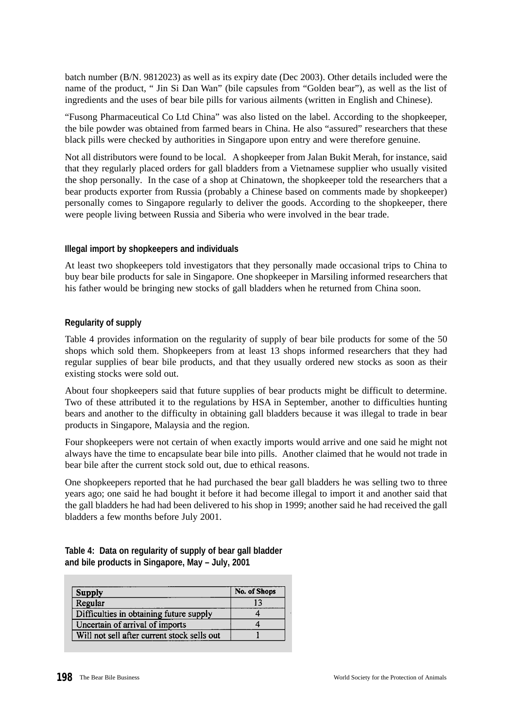batch number (B/N. 9812023) as well as its expiry date (Dec 2003). Other details included were the name of the product, " Jin Si Dan Wan" (bile capsules from "Golden bear"), as well as the list of ingredients and the uses of bear bile pills for various ailments (written in English and Chinese).

"Fusong Pharmaceutical Co Ltd China" was also listed on the label. According to the shopkeeper, the bile powder was obtained from farmed bears in China. He also "assured" researchers that these black pills were checked by authorities in Singapore upon entry and were therefore genuine.

Not all distributors were found to be local. A shopkeeper from Jalan Bukit Merah, for instance, said that they regularly placed orders for gall bladders from a Vietnamese supplier who usually visited the shop personally. In the case of a shop at Chinatown, the shopkeeper told the researchers that a bear products exporter from Russia (probably a Chinese based on comments made by shopkeeper) personally comes to Singapore regularly to deliver the goods. According to the shopkeeper, there were people living between Russia and Siberia who were involved in the bear trade.

# **Illegal import by shopkeepers and individuals**

At least two shopkeepers told investigators that they personally made occasional trips to China to buy bear bile products for sale in Singapore. One shopkeeper in Marsiling informed researchers that his father would be bringing new stocks of gall bladders when he returned from China soon.

# **Regularity of supply**

Table 4 provides information on the regularity of supply of bear bile products for some of the 50 shops which sold them. Shopkeepers from at least 13 shops informed researchers that they had regular supplies of bear bile products, and that they usually ordered new stocks as soon as their existing stocks were sold out.

About four shopkeepers said that future supplies of bear products might be difficult to determine. Two of these attributed it to the regulations by HSA in September, another to difficulties hunting bears and another to the difficulty in obtaining gall bladders because it was illegal to trade in bear products in Singapore, Malaysia and the region.

Four shopkeepers were not certain of when exactly imports would arrive and one said he might not always have the time to encapsulate bear bile into pills. Another claimed that he would not trade in bear bile after the current stock sold out, due to ethical reasons.

One shopkeepers reported that he had purchased the bear gall bladders he was selling two to three years ago; one said he had bought it before it had become illegal to import it and another said that the gall bladders he had had been delivered to his shop in 1999; another said he had received the gall bladders a few months before July 2001.

|                                                  |  | Table 4: Data on regularity of supply of bear gall bladder |
|--------------------------------------------------|--|------------------------------------------------------------|
| and bile products in Singapore, May - July, 2001 |  |                                                            |

| <b>Supply</b>                               | No. of Shops |
|---------------------------------------------|--------------|
| Regular                                     | 13           |
| Difficulties in obtaining future supply     |              |
| Uncertain of arrival of imports             |              |
| Will not sell after current stock sells out |              |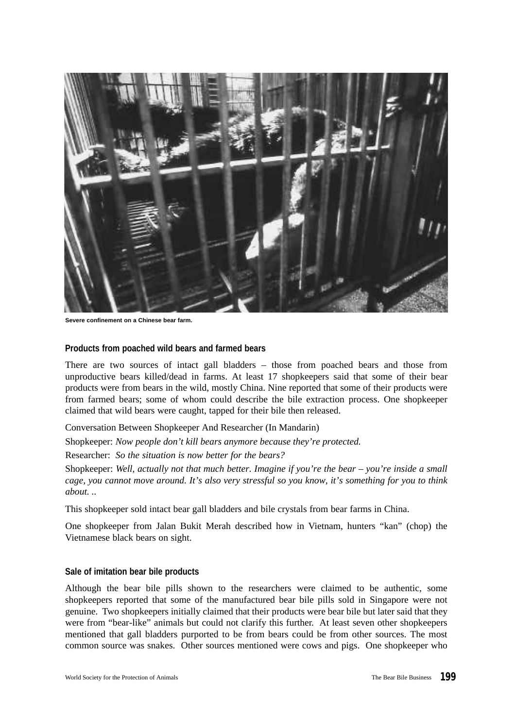

**Severe confinement on a Chinese bear farm.**

#### **Products from poached wild bears and farmed bears**

There are two sources of intact gall bladders – those from poached bears and those from unproductive bears killed/dead in farms. At least 17 shopkeepers said that some of their bear products were from bears in the wild, mostly China. Nine reported that some of their products were from farmed bears; some of whom could describe the bile extraction process. One shopkeeper claimed that wild bears were caught, tapped for their bile then released.

Conversation Between Shopkeeper And Researcher (In Mandarin)

Shopkeeper: *Now people don't kill bears anymore because they're protected.*

Researcher: *So the situation is now better for the bears?*

Shopkeeper: *Well, actually not that much better. Imagine if you're the bear – you're inside a small cage, you cannot move around. It's also very stressful so you know, it's something for you to think about. ..*

This shopkeeper sold intact bear gall bladders and bile crystals from bear farms in China.

One shopkeeper from Jalan Bukit Merah described how in Vietnam, hunters "kan" (chop) the Vietnamese black bears on sight.

#### **Sale of imitation bear bile products**

Although the bear bile pills shown to the researchers were claimed to be authentic, some shopkeepers reported that some of the manufactured bear bile pills sold in Singapore were not genuine. Two shopkeepers initially claimed that their products were bear bile but later said that they were from "bear-like" animals but could not clarify this further. At least seven other shopkeepers mentioned that gall bladders purported to be from bears could be from other sources. The most common source was snakes. Other sources mentioned were cows and pigs. One shopkeeper who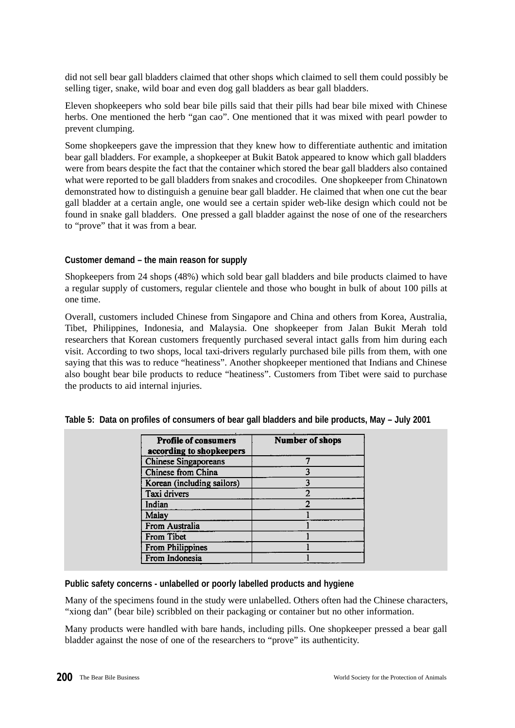did not sell bear gall bladders claimed that other shops which claimed to sell them could possibly be selling tiger, snake, wild boar and even dog gall bladders as bear gall bladders.

Eleven shopkeepers who sold bear bile pills said that their pills had bear bile mixed with Chinese herbs. One mentioned the herb "gan cao". One mentioned that it was mixed with pearl powder to prevent clumping.

Some shopkeepers gave the impression that they knew how to differentiate authentic and imitation bear gall bladders. For example, a shopkeeper at Bukit Batok appeared to know which gall bladders were from bears despite the fact that the container which stored the bear gall bladders also contained what were reported to be gall bladders from snakes and crocodiles. One shopkeeper from Chinatown demonstrated how to distinguish a genuine bear gall bladder. He claimed that when one cut the bear gall bladder at a certain angle, one would see a certain spider web-like design which could not be found in snake gall bladders. One pressed a gall bladder against the nose of one of the researchers to "prove" that it was from a bear.

# **Customer demand – the main reason for supply**

Shopkeepers from 24 shops (48%) which sold bear gall bladders and bile products claimed to have a regular supply of customers, regular clientele and those who bought in bulk of about 100 pills at one time.

Overall, customers included Chinese from Singapore and China and others from Korea, Australia, Tibet, Philippines, Indonesia, and Malaysia. One shopkeeper from Jalan Bukit Merah told researchers that Korean customers frequently purchased several intact galls from him during each visit. According to two shops, local taxi-drivers regularly purchased bile pills from them, with one saying that this was to reduce "heatiness". Another shopkeeper mentioned that Indians and Chinese also bought bear bile products to reduce "heatiness". Customers from Tibet were said to purchase the products to aid internal injuries.

| <b>Profile of consumers</b><br>according to shopkeepers | <b>Number of shops</b> |
|---------------------------------------------------------|------------------------|
| <b>Chinese Singaporeans</b>                             |                        |
| Chinese from China                                      |                        |
| Korean (including sailors)                              |                        |
| Taxi drivers                                            | $\overline{2}$         |
| Indian                                                  | 2                      |
| Malay                                                   |                        |
| From Australia                                          |                        |
| From Tibet                                              |                        |
| From Philippines                                        |                        |
| From Indonesia                                          |                        |

# **Table 5: Data on profiles of consumers of bear gall bladders and bile products, May – July 2001**

#### **Public safety concerns - unlabelled or poorly labelled products and hygiene**

Many of the specimens found in the study were unlabelled. Others often had the Chinese characters, "xiong dan" (bear bile) scribbled on their packaging or container but no other information.

Many products were handled with bare hands, including pills. One shopkeeper pressed a bear gall bladder against the nose of one of the researchers to "prove" its authenticity.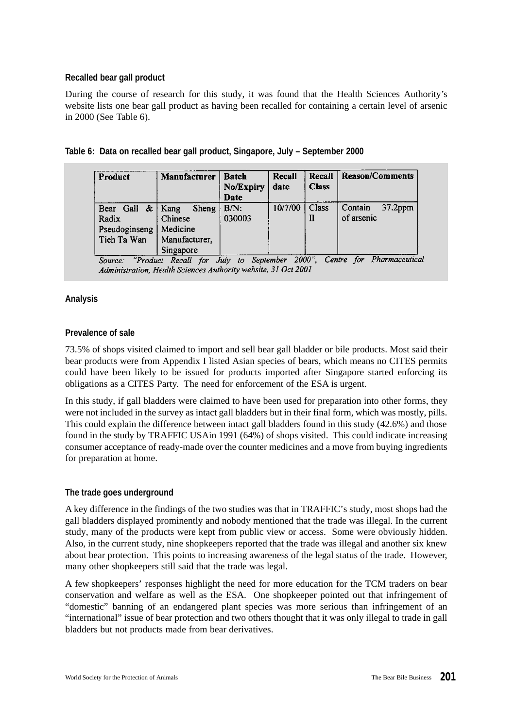# **Recalled bear gall product**

During the course of research for this study, it was found that the Health Sciences Authority's website lists one bear gall product as having been recalled for containing a certain level of arsenic in 2000 (See Table 6).

| <b>Product</b>                                     | Manufacturer                                                              | <b>Batch</b><br>No/Expiry<br>Date | Recall<br>date | Recall<br><b>Class</b> | Reason/Comments                     |
|----------------------------------------------------|---------------------------------------------------------------------------|-----------------------------------|----------------|------------------------|-------------------------------------|
| Bear Gall<br>Radix<br>Pseudoginseng<br>Tieh Ta Wan | Sheng<br>$\&$   Kang<br>Chinese<br>Medicine<br>Manufacturer,<br>Singapore | B/N:<br>030003                    | 10/7/00        | Class                  | Contain<br>$37.2$ ppm<br>of arsenic |

| Table 6: Data on recalled bear gall product, Singapore, July - September 2000 |  |  |
|-------------------------------------------------------------------------------|--|--|
|                                                                               |  |  |

'Product Recall for July to September 2000", Centre for Pharmaceutical Source: Administration, Health Sciences Authority website, 31 Oct 2001

# **Analysis**

# **Prevalence of sale**

73.5% of shops visited claimed to import and sell bear gall bladder or bile products. Most said their bear products were from Appendix I listed Asian species of bears, which means no CITES permits could have been likely to be issued for products imported after Singapore started enforcing its obligations as a CITES Party. The need for enforcement of the ESA is urgent.

In this study, if gall bladders were claimed to have been used for preparation into other forms, they were not included in the survey as intact gall bladders but in their final form, which was mostly, pills. This could explain the difference between intact gall bladders found in this study (42.6%) and those found in the study by TRAFFIC USAin 1991 (64%) of shops visited. This could indicate increasing consumer acceptance of ready-made over the counter medicines and a move from buying ingredients for preparation at home.

# **The trade goes underground**

A key difference in the findings of the two studies was that in TRAFFIC's study, most shops had the gall bladders displayed prominently and nobody mentioned that the trade was illegal. In the current study, many of the products were kept from public view or access. Some were obviously hidden. Also, in the current study, nine shopkeepers reported that the trade was illegal and another six knew about bear protection. This points to increasing awareness of the legal status of the trade. However, many other shopkeepers still said that the trade was legal.

A few shopkeepers' responses highlight the need for more education for the TCM traders on bear conservation and welfare as well as the ESA. One shopkeeper pointed out that infringement of "domestic" banning of an endangered plant species was more serious than infringement of an "international" issue of bear protection and two others thought that it was only illegal to trade in gall bladders but not products made from bear derivatives.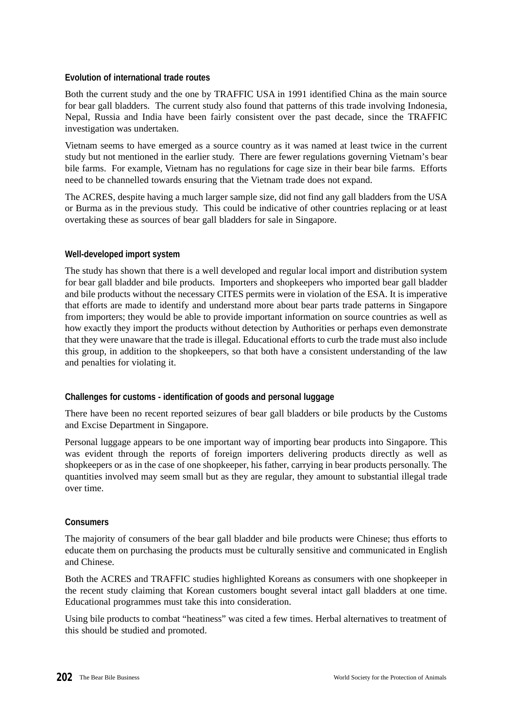# **Evolution of international trade routes**

Both the current study and the one by TRAFFIC USA in 1991 identified China as the main source for bear gall bladders. The current study also found that patterns of this trade involving Indonesia, Nepal, Russia and India have been fairly consistent over the past decade, since the TRAFFIC investigation was undertaken.

Vietnam seems to have emerged as a source country as it was named at least twice in the current study but not mentioned in the earlier study. There are fewer regulations governing Vietnam's bear bile farms. For example, Vietnam has no regulations for cage size in their bear bile farms. Efforts need to be channelled towards ensuring that the Vietnam trade does not expand.

The ACRES, despite having a much larger sample size, did not find any gall bladders from the USA or Burma as in the previous study. This could be indicative of other countries replacing or at least overtaking these as sources of bear gall bladders for sale in Singapore.

# **Well-developed import system**

The study has shown that there is a well developed and regular local import and distribution system for bear gall bladder and bile products. Importers and shopkeepers who imported bear gall bladder and bile products without the necessary CITES permits were in violation of the ESA. It is imperative that efforts are made to identify and understand more about bear parts trade patterns in Singapore from importers; they would be able to provide important information on source countries as well as how exactly they import the products without detection by Authorities or perhaps even demonstrate that they were unaware that the trade is illegal. Educational efforts to curb the trade must also include this group, in addition to the shopkeepers, so that both have a consistent understanding of the law and penalties for violating it.

# **Challenges for customs - identification of goods and personal luggage**

There have been no recent reported seizures of bear gall bladders or bile products by the Customs and Excise Department in Singapore.

Personal luggage appears to be one important way of importing bear products into Singapore. This was evident through the reports of foreign importers delivering products directly as well as shopkeepers or as in the case of one shopkeeper, his father, carrying in bear products personally. The quantities involved may seem small but as they are regular, they amount to substantial illegal trade over time.

# **Consumers**

The majority of consumers of the bear gall bladder and bile products were Chinese; thus efforts to educate them on purchasing the products must be culturally sensitive and communicated in English and Chinese.

Both the ACRES and TRAFFIC studies highlighted Koreans as consumers with one shopkeeper in the recent study claiming that Korean customers bought several intact gall bladders at one time. Educational programmes must take this into consideration.

Using bile products to combat "heatiness" was cited a few times. Herbal alternatives to treatment of this should be studied and promoted.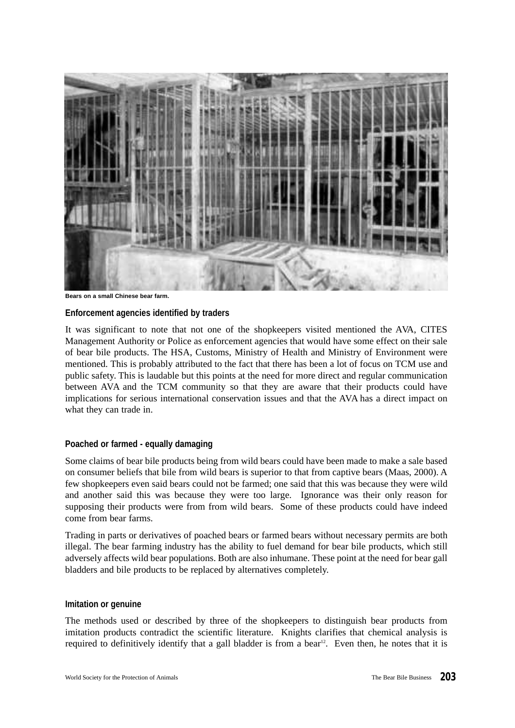

**Bears on a small Chinese bear farm.**

#### **Enforcement agencies identified by traders**

It was significant to note that not one of the shopkeepers visited mentioned the AVA, CITES Management Authority or Police as enforcement agencies that would have some effect on their sale of bear bile products. The HSA, Customs, Ministry of Health and Ministry of Environment were mentioned. This is probably attributed to the fact that there has been a lot of focus on TCM use and public safety. This is laudable but this points at the need for more direct and regular communication between AVA and the TCM community so that they are aware that their products could have implications for serious international conservation issues and that the AVA has a direct impact on what they can trade in.

#### **Poached or farmed - equally damaging**

Some claims of bear bile products being from wild bears could have been made to make a sale based on consumer beliefs that bile from wild bears is superior to that from captive bears (Maas, 2000). A few shopkeepers even said bears could not be farmed; one said that this was because they were wild and another said this was because they were too large. Ignorance was their only reason for supposing their products were from from wild bears. Some of these products could have indeed come from bear farms.

Trading in parts or derivatives of poached bears or farmed bears without necessary permits are both illegal. The bear farming industry has the ability to fuel demand for bear bile products, which still adversely affects wild bear populations. Both are also inhumane. These point at the need for bear gall bladders and bile products to be replaced by alternatives completely.

#### **Imitation or genuine**

The methods used or described by three of the shopkeepers to distinguish bear products from imitation products contradict the scientific literature. Knights clarifies that chemical analysis is required to definitively identify that a gall bladder is from a bear<sup>12</sup>. Even then, he notes that it is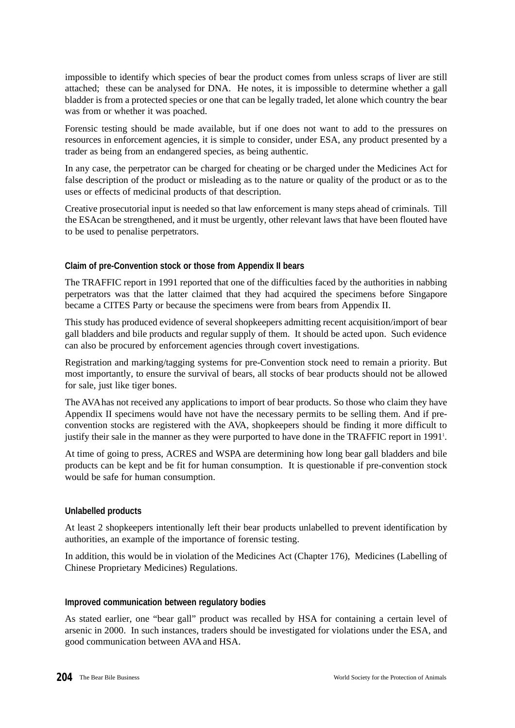impossible to identify which species of bear the product comes from unless scraps of liver are still attached; these can be analysed for DNA. He notes, it is impossible to determine whether a gall bladder is from a protected species or one that can be legally traded, let alone which country the bear was from or whether it was poached.

Forensic testing should be made available, but if one does not want to add to the pressures on resources in enforcement agencies, it is simple to consider, under ESA, any product presented by a trader as being from an endangered species, as being authentic.

In any case, the perpetrator can be charged for cheating or be charged under the Medicines Act for false description of the product or misleading as to the nature or quality of the product or as to the uses or effects of medicinal products of that description.

Creative prosecutorial input is needed so that law enforcement is many steps ahead of criminals. Till the ESAcan be strengthened, and it must be urgently, other relevant laws that have been flouted have to be used to penalise perpetrators.

# **Claim of pre-Convention stock or those from Appendix II bears**

The TRAFFIC report in 1991 reported that one of the difficulties faced by the authorities in nabbing perpetrators was that the latter claimed that they had acquired the specimens before Singapore became a CITES Party or because the specimens were from bears from Appendix II.

This study has produced evidence of several shopkeepers admitting recent acquisition/import of bear gall bladders and bile products and regular supply of them. It should be acted upon. Such evidence can also be procured by enforcement agencies through covert investigations.

Registration and marking/tagging systems for pre-Convention stock need to remain a priority. But most importantly, to ensure the survival of bears, all stocks of bear products should not be allowed for sale, just like tiger bones.

The AVAhas not received any applications to import of bear products. So those who claim they have Appendix II specimens would have not have the necessary permits to be selling them. And if preconvention stocks are registered with the AVA, shopkeepers should be finding it more difficult to justify their sale in the manner as they were purported to have done in the TRAFFIC report in 1991<sup>1</sup>.

At time of going to press, ACRES and WSPA are determining how long bear gall bladders and bile products can be kept and be fit for human consumption. It is questionable if pre-convention stock would be safe for human consumption.

#### **Unlabelled products**

At least 2 shopkeepers intentionally left their bear products unlabelled to prevent identification by authorities, an example of the importance of forensic testing.

In addition, this would be in violation of the Medicines Act (Chapter 176), Medicines (Labelling of Chinese Proprietary Medicines) Regulations.

#### **Improved communication between regulatory bodies**

As stated earlier, one "bear gall" product was recalled by HSA for containing a certain level of arsenic in 2000. In such instances, traders should be investigated for violations under the ESA, and good communication between AVAand HSA.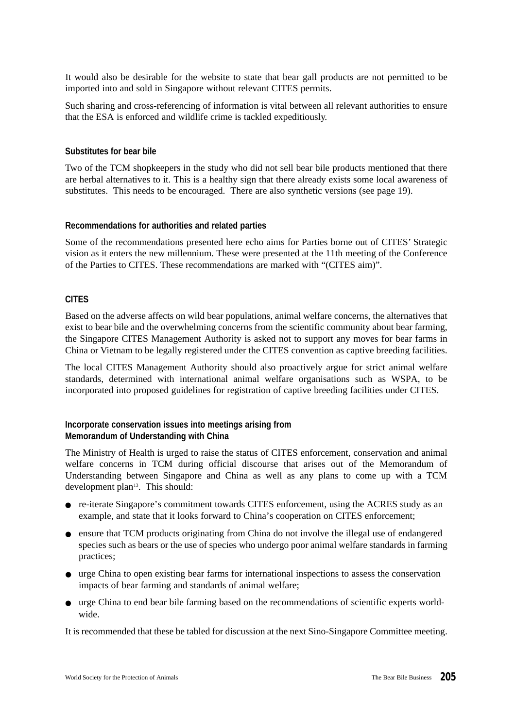It would also be desirable for the website to state that bear gall products are not permitted to be imported into and sold in Singapore without relevant CITES permits.

Such sharing and cross-referencing of information is vital between all relevant authorities to ensure that the ESA is enforced and wildlife crime is tackled expeditiously.

#### **Substitutes for bear bile**

Two of the TCM shopkeepers in the study who did not sell bear bile products mentioned that there are herbal alternatives to it. This is a healthy sign that there already exists some local awareness of substitutes. This needs to be encouraged. There are also synthetic versions (see page 19).

#### **Recommendations for authorities and related parties**

Some of the recommendations presented here echo aims for Parties borne out of CITES' Strategic vision as it enters the new millennium. These were presented at the 11th meeting of the Conference of the Parties to CITES. These recommendations are marked with "(CITES aim)".

# **CITES**

Based on the adverse affects on wild bear populations, animal welfare concerns, the alternatives that exist to bear bile and the overwhelming concerns from the scientific community about bear farming, the Singapore CITES Management Authority is asked not to support any moves for bear farms in China or Vietnam to be legally registered under the CITES convention as captive breeding facilities.

The local CITES Management Authority should also proactively argue for strict animal welfare standards, determined with international animal welfare organisations such as WSPA, to be incorporated into proposed guidelines for registration of captive breeding facilities under CITES.

# **Incorporate conservation issues into meetings arising from Memorandum of Understanding with China**

The Ministry of Health is urged to raise the status of CITES enforcement, conservation and animal welfare concerns in TCM during official discourse that arises out of the Memorandum of Understanding between Singapore and China as well as any plans to come up with a TCM development plan<sup>13</sup>. This should:

- re-iterate Singapore's commitment towards CITES enforcement, using the ACRES study as an example, and state that it looks forward to China's cooperation on CITES enforcement;
- ensure that TCM products originating from China do not involve the illegal use of endangered species such as bears or the use of species who undergo poor animal welfare standards in farming practices;
- urge China to open existing bear farms for international inspections to assess the conservation impacts of bear farming and standards of animal welfare;
- urge China to end bear bile farming based on the recommendations of scientific experts worldwide.

It is recommended that these be tabled for discussion at the next Sino-Singapore Committee meeting.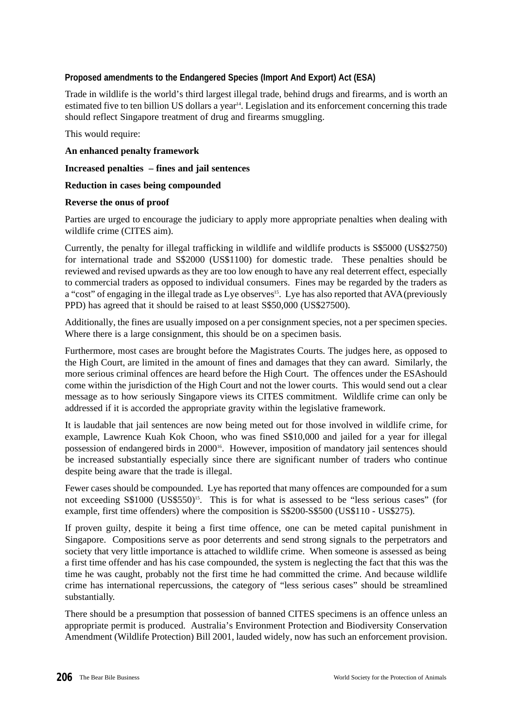# **Proposed amendments to the Endangered Species (Import And Export) Act (ESA)**

Trade in wildlife is the world's third largest illegal trade, behind drugs and firearms, and is worth an estimated five to ten billion US dollars a year<sup>14</sup>. Legislation and its enforcement concerning this trade should reflect Singapore treatment of drug and firearms smuggling.

This would require:

**An enhanced penalty framework**

**Increased penalties – fines and jail sentences**

**Reduction in cases being compounded**

#### **Reverse the onus of proof**

Parties are urged to encourage the judiciary to apply more appropriate penalties when dealing with wildlife crime (CITES aim).

Currently, the penalty for illegal trafficking in wildlife and wildlife products is S\$5000 (US\$2750) for international trade and S\$2000 (US\$1100) for domestic trade. These penalties should be reviewed and revised upwards as they are too low enough to have any real deterrent effect, especially to commercial traders as opposed to individual consumers. Fines may be regarded by the traders as a "cost" of engaging in the illegal trade as Lye observes<sup>15</sup>. Lye has also reported that AVA (previously PPD) has agreed that it should be raised to at least S\$50,000 (US\$27500).

Additionally, the fines are usually imposed on a per consignment species, not a per specimen species. Where there is a large consignment, this should be on a specimen basis.

Furthermore, most cases are brought before the Magistrates Courts. The judges here, as opposed to the High Court, are limited in the amount of fines and damages that they can award. Similarly, the more serious criminal offences are heard before the High Court. The offences under the ESAshould come within the jurisdiction of the High Court and not the lower courts. This would send out a clear message as to how seriously Singapore views its CITES commitment. Wildlife crime can only be addressed if it is accorded the appropriate gravity within the legislative framework.

It is laudable that jail sentences are now being meted out for those involved in wildlife crime, for example, Lawrence Kuah Kok Choon, who was fined S\$10,000 and jailed for a year for illegal possession of endangered birds in 200016. However, imposition of mandatory jail sentences should be increased substantially especially since there are significant number of traders who continue despite being aware that the trade is illegal.

Fewer cases should be compounded. Lye has reported that many offences are compounded for a sum not exceeding S\$1000 (US\$550)<sup>15</sup>. This is for what is assessed to be "less serious cases" (for example, first time offenders) where the composition is S\$200-S\$500 (US\$110 - US\$275).

If proven guilty, despite it being a first time offence, one can be meted capital punishment in Singapore. Compositions serve as poor deterrents and send strong signals to the perpetrators and society that very little importance is attached to wildlife crime. When someone is assessed as being a first time offender and has his case compounded, the system is neglecting the fact that this was the time he was caught, probably not the first time he had committed the crime. And because wildlife crime has international repercussions, the category of "less serious cases" should be streamlined substantially.

There should be a presumption that possession of banned CITES specimens is an offence unless an appropriate permit is produced. Australia's Environment Protection and Biodiversity Conservation Amendment (Wildlife Protection) Bill 2001, lauded widely, now has such an enforcement provision.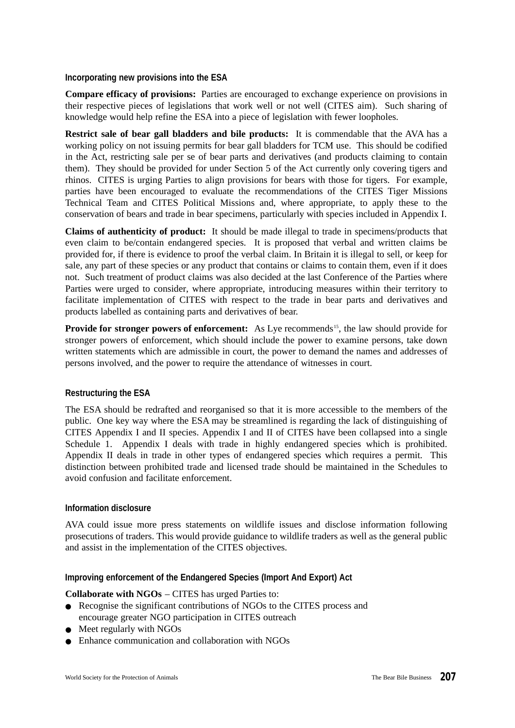#### **Incorporating new provisions into the ESA**

**Compare efficacy of provisions:** Parties are encouraged to exchange experience on provisions in their respective pieces of legislations that work well or not well (CITES aim). Such sharing of knowledge would help refine the ESA into a piece of legislation with fewer loopholes.

**Restrict sale of bear gall bladders and bile products:** It is commendable that the AVA has a working policy on not issuing permits for bear gall bladders for TCM use. This should be codified in the Act, restricting sale per se of bear parts and derivatives (and products claiming to contain them). They should be provided for under Section 5 of the Act currently only covering tigers and rhinos. CITES is urging Parties to align provisions for bears with those for tigers. For example, parties have been encouraged to evaluate the recommendations of the CITES Tiger Missions Technical Team and CITES Political Missions and, where appropriate, to apply these to the conservation of bears and trade in bear specimens, particularly with species included in Appendix I.

**Claims of authenticity of product:** It should be made illegal to trade in specimens/products that even claim to be/contain endangered species. It is proposed that verbal and written claims be provided for, if there is evidence to proof the verbal claim. In Britain it is illegal to sell, or keep for sale, any part of these species or any product that contains or claims to contain them, even if it does not. Such treatment of product claims was also decided at the last Conference of the Parties where Parties were urged to consider, where appropriate, introducing measures within their territory to facilitate implementation of CITES with respect to the trade in bear parts and derivatives and products labelled as containing parts and derivatives of bear.

**Provide for stronger powers of enforcement:** As Lye recommends<sup>15</sup>, the law should provide for stronger powers of enforcement, which should include the power to examine persons, take down written statements which are admissible in court, the power to demand the names and addresses of persons involved, and the power to require the attendance of witnesses in court.

# **Restructuring the ESA**

The ESA should be redrafted and reorganised so that it is more accessible to the members of the public. One key way where the ESA may be streamlined is regarding the lack of distinguishing of CITES Appendix I and II species. Appendix I and II of CITES have been collapsed into a single Schedule 1. Appendix I deals with trade in highly endangered species which is prohibited. Appendix II deals in trade in other types of endangered species which requires a permit. This distinction between prohibited trade and licensed trade should be maintained in the Schedules to avoid confusion and facilitate enforcement.

#### **Information disclosure**

AVA could issue more press statements on wildlife issues and disclose information following prosecutions of traders. This would provide guidance to wildlife traders as well as the general public and assist in the implementation of the CITES objectives.

#### **Improving enforcement of the Endangered Species (Import And Export) Act**

#### **Collaborate with NGOs** – CITES has urged Parties to:

- Recognise the significant contributions of NGOs to the CITES process and encourage greater NGO participation in CITES outreach
- Meet regularly with NGOs
- Enhance communication and collaboration with NGOs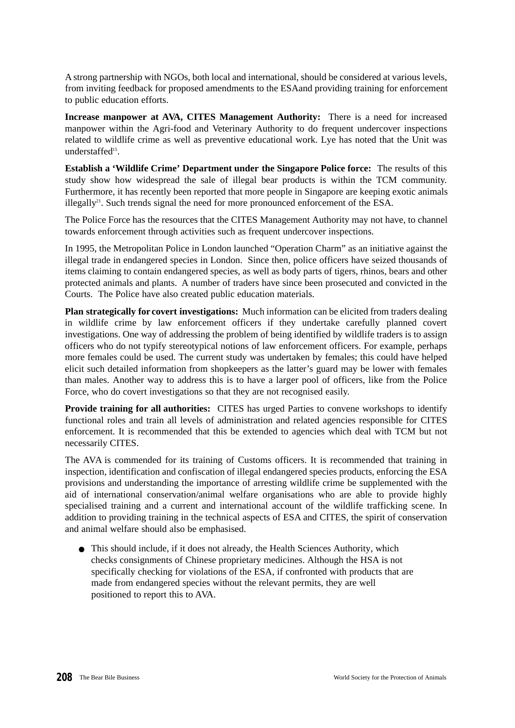A strong partnership with NGOs, both local and international, should be considered at various levels, from inviting feedback for proposed amendments to the ESAand providing training for enforcement to public education efforts.

**Increase manpower at AVA, CITES Management Authority:** There is a need for increased manpower within the Agri-food and Veterinary Authority to do frequent undercover inspections related to wildlife crime as well as preventive educational work. Lye has noted that the Unit was understaffed<sup>15</sup>.

**Establish a 'Wildlife Crime' Department under the Singapore Police force:** The results of this study show how widespread the sale of illegal bear products is within the TCM community. Furthermore, it has recently been reported that more people in Singapore are keeping exotic animals illegally<sup>21</sup>. Such trends signal the need for more pronounced enforcement of the ESA.

The Police Force has the resources that the CITES Management Authority may not have, to channel towards enforcement through activities such as frequent undercover inspections.

In 1995, the Metropolitan Police in London launched "Operation Charm" as an initiative against the illegal trade in endangered species in London. Since then, police officers have seized thousands of items claiming to contain endangered species, as well as body parts of tigers, rhinos, bears and other protected animals and plants. A number of traders have since been prosecuted and convicted in the Courts. The Police have also created public education materials.

**Plan strategically for covert investigations:** Much information can be elicited from traders dealing in wildlife crime by law enforcement officers if they undertake carefully planned covert investigations. One way of addressing the problem of being identified by wildlife traders is to assign officers who do not typify stereotypical notions of law enforcement officers. For example, perhaps more females could be used. The current study was undertaken by females; this could have helped elicit such detailed information from shopkeepers as the latter's guard may be lower with females than males. Another way to address this is to have a larger pool of officers, like from the Police Force, who do covert investigations so that they are not recognised easily.

**Provide training for all authorities:** CITES has urged Parties to convene workshops to identify functional roles and train all levels of administration and related agencies responsible for CITES enforcement. It is recommended that this be extended to agencies which deal with TCM but not necessarily CITES.

The AVA is commended for its training of Customs officers. It is recommended that training in inspection, identification and confiscation of illegal endangered species products, enforcing the ESA provisions and understanding the importance of arresting wildlife crime be supplemented with the aid of international conservation/animal welfare organisations who are able to provide highly specialised training and a current and international account of the wildlife trafficking scene. In addition to providing training in the technical aspects of ESA and CITES, the spirit of conservation and animal welfare should also be emphasised.

● This should include, if it does not already, the Health Sciences Authority, which checks consignments of Chinese proprietary medicines. Although the HSA is not specifically checking for violations of the ESA, if confronted with products that are made from endangered species without the relevant permits, they are well positioned to report this to AVA.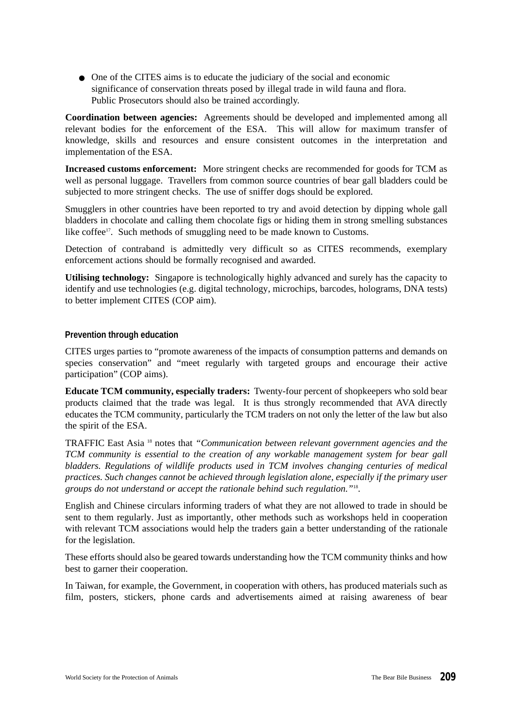● One of the CITES aims is to educate the judiciary of the social and economic significance of conservation threats posed by illegal trade in wild fauna and flora. Public Prosecutors should also be trained accordingly.

**Coordination between agencies:** Agreements should be developed and implemented among all relevant bodies for the enforcement of the ESA. This will allow for maximum transfer of knowledge, skills and resources and ensure consistent outcomes in the interpretation and implementation of the ESA.

**Increased customs enforcement:** More stringent checks are recommended for goods for TCM as well as personal luggage. Travellers from common source countries of bear gall bladders could be subjected to more stringent checks. The use of sniffer dogs should be explored.

Smugglers in other countries have been reported to try and avoid detection by dipping whole gall bladders in chocolate and calling them chocolate figs or hiding them in strong smelling substances like coffee<sup>17</sup>. Such methods of smuggling need to be made known to Customs.

Detection of contraband is admittedly very difficult so as CITES recommends, exemplary enforcement actions should be formally recognised and awarded.

**Utilising technology:** Singapore is technologically highly advanced and surely has the capacity to identify and use technologies (e.g. digital technology, microchips, barcodes, holograms, DNA tests) to better implement CITES (COP aim).

# **Prevention through education**

CITES urges parties to "promote awareness of the impacts of consumption patterns and demands on species conservation" and "meet regularly with targeted groups and encourage their active participation" (COP aims).

**Educate TCM community, especially traders:** Twenty-four percent of shopkeepers who sold bear products claimed that the trade was legal. It is thus strongly recommended that AVA directly educates the TCM community, particularly the TCM traders on not only the letter of the law but also the spirit of the ESA.

TRAFFIC East Asia <sup>18</sup> notes that *"Communication between relevant government agencies and the TCM community is essential to the creation of any workable management system for bear gall bladders. Regulations of wildlife products used in TCM involves changing centuries of medical practices. Such changes cannot be achieved through legislation alone, especially if the primary user groups do not understand or accept the rationale behind such regulation."*<sup>18</sup> .

English and Chinese circulars informing traders of what they are not allowed to trade in should be sent to them regularly. Just as importantly, other methods such as workshops held in cooperation with relevant TCM associations would help the traders gain a better understanding of the rationale for the legislation.

These efforts should also be geared towards understanding how the TCM community thinks and how best to garner their cooperation.

In Taiwan, for example, the Government, in cooperation with others, has produced materials such as film, posters, stickers, phone cards and advertisements aimed at raising awareness of bear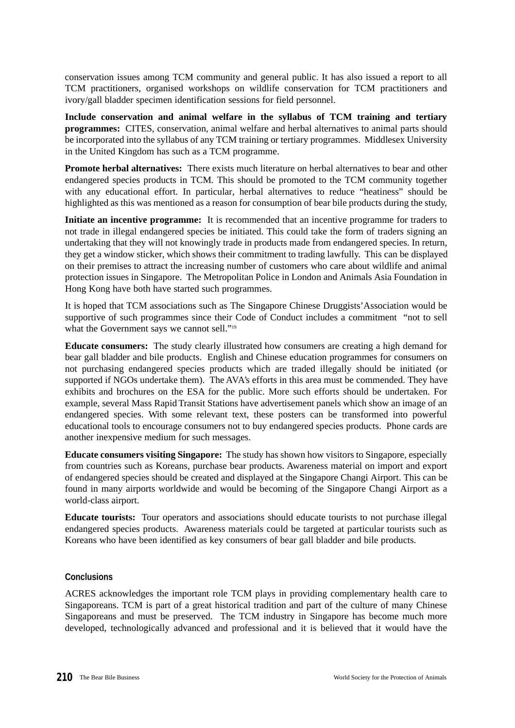conservation issues among TCM community and general public. It has also issued a report to all TCM practitioners, organised workshops on wildlife conservation for TCM practitioners and ivory/gall bladder specimen identification sessions for field personnel.

**Include conservation and animal welfare in the syllabus of TCM training and tertiary programmes:** CITES, conservation, animal welfare and herbal alternatives to animal parts should be incorporated into the syllabus of any TCM training or tertiary programmes. Middlesex University in the United Kingdom has such as a TCM programme.

**Promote herbal alternatives:** There exists much literature on herbal alternatives to bear and other endangered species products in TCM. This should be promoted to the TCM community together with any educational effort. In particular, herbal alternatives to reduce "heatiness" should be highlighted as this was mentioned as a reason for consumption of bear bile products during the study,

**Initiate an incentive programme:** It is recommended that an incentive programme for traders to not trade in illegal endangered species be initiated. This could take the form of traders signing an undertaking that they will not knowingly trade in products made from endangered species. In return, they get a window sticker, which shows their commitment to trading lawfully. This can be displayed on their premises to attract the increasing number of customers who care about wildlife and animal protection issues in Singapore. The Metropolitan Police in London and Animals Asia Foundation in Hong Kong have both have started such programmes.

It is hoped that TCM associations such as The Singapore Chinese Druggists'Association would be supportive of such programmes since their Code of Conduct includes a commitment "not to sell what the Government says we cannot sell."<sup>19</sup>

**Educate consumers:** The study clearly illustrated how consumers are creating a high demand for bear gall bladder and bile products. English and Chinese education programmes for consumers on not purchasing endangered species products which are traded illegally should be initiated (or supported if NGOs undertake them). The AVA's efforts in this area must be commended. They have exhibits and brochures on the ESA for the public. More such efforts should be undertaken. For example, several Mass Rapid Transit Stations have advertisement panels which show an image of an endangered species. With some relevant text, these posters can be transformed into powerful educational tools to encourage consumers not to buy endangered species products. Phone cards are another inexpensive medium for such messages.

**Educate consumers visiting Singapore:** The study has shown how visitors to Singapore, especially from countries such as Koreans, purchase bear products. Awareness material on import and export of endangered species should be created and displayed at the Singapore Changi Airport. This can be found in many airports worldwide and would be becoming of the Singapore Changi Airport as a world-class airport.

**Educate tourists:** Tour operators and associations should educate tourists to not purchase illegal endangered species products. Awareness materials could be targeted at particular tourists such as Koreans who have been identified as key consumers of bear gall bladder and bile products.

# **Conclusions**

ACRES acknowledges the important role TCM plays in providing complementary health care to Singaporeans. TCM is part of a great historical tradition and part of the culture of many Chinese Singaporeans and must be preserved. The TCM industry in Singapore has become much more developed, technologically advanced and professional and it is believed that it would have the